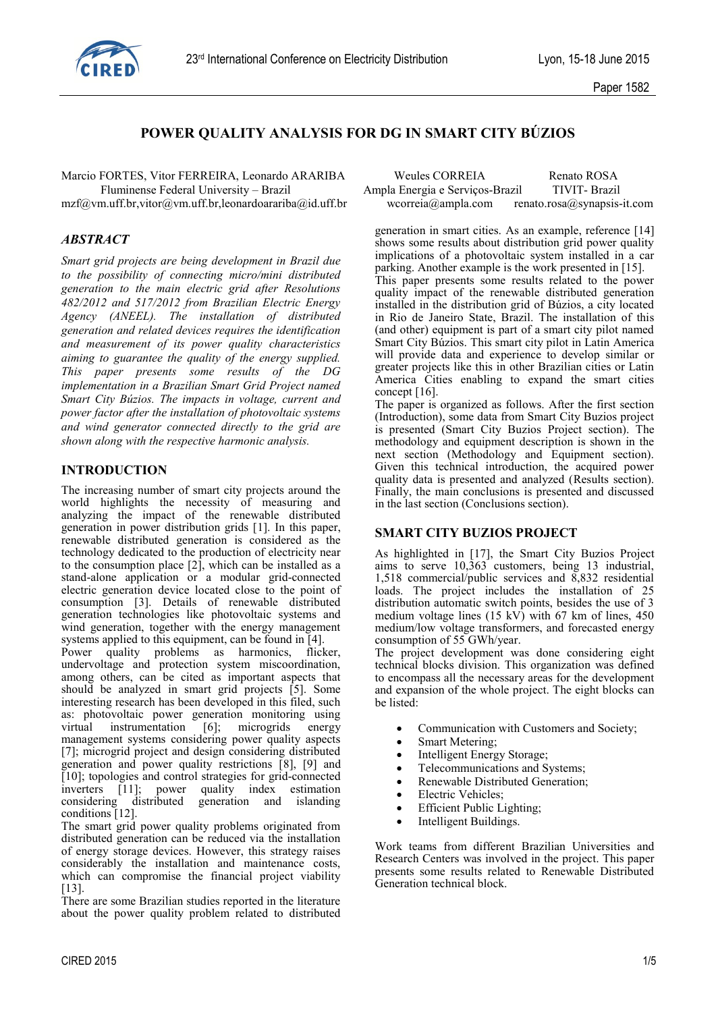

# **POWER QUALITY ANALYSIS FOR DG IN SMART CITY BÚZIOS**

#### *ABSTRACT*

*Smart grid projects are being development in Brazil due to the possibility of connecting micro/mini distributed generation to the main electric grid after Resolutions 482/2012 and 517/2012 from Brazilian Electric Energy Agency (ANEEL). The installation of distributed generation and related devices requires the identification and measurement of its power quality characteristics aiming to guarantee the quality of the energy supplied. This paper presents some results of the DG implementation in a Brazilian Smart Grid Project named Smart City Búzios. The impacts in voltage, current and power factor after the installation of photovoltaic systems and wind generator connected directly to the grid are shown along with the respective harmonic analysis.*

## **INTRODUCTION**

The increasing number of smart city projects around the world highlights the necessity of measuring and analyzing the impact of the renewable distributed generation in power distribution grids [1]. In this paper, renewable distributed generation is considered as the technology dedicated to the production of electricity near to the consumption place  $[2]$ , which can be installed as a stand-alone application or a modular grid-connected electric generation device located close to the point of consumption [3]. Details of renewable distributed generation technologies like photovoltaic systems and wind generation, together with the energy management systems applied to this equipment, can be found in [4].

Power quality problems as harmonics, flicker, undervoltage and protection system miscoordination, among others, can be cited as important aspects that should be analyzed in smart grid projects [5]. Some interesting research has been developed in this filed, such as: photovoltaic power generation monitoring using virtual instrumentation [6]; microgrids energy management systems considering power quality aspects [7]; microgrid project and design considering distributed generation and power quality restrictions [8], [9] and [10]; topologies and control strategies for grid-connected inverters [11]; power quality index estimation considering distributed generation and islanding conditions [12].

The smart grid power quality problems originated from distributed generation can be reduced via the installation of energy storage devices. However, this strategy raises considerably the installation and maintenance costs, which can compromise the financial project viability [13].

There are some Brazilian studies reported in the literature about the power quality problem related to distributed

| Marcio FORTES, Vitor FERREIRA, Leonardo ARARIBA                                           | Weules CORREIA                  | Renato ROSA                 |
|-------------------------------------------------------------------------------------------|---------------------------------|-----------------------------|
| Fluminense Federal University – Brazil                                                    | Ampla Energia e Serviços-Brazil | TIVIT-Brazil                |
| $mzf(\omega)$ vm.uff.br, vitor( $\omega$ ) vm.uff.br, leonardoarariba( $\omega$ id.uff.br | wcorreia@ampla.com              | renato.rosa@synapsis-it.com |

generation in smart cities. As an example, reference [14] shows some results about distribution grid power quality implications of a photovoltaic system installed in a car parking. Another example is the work presented in [15]. This paper presents some results related to the power quality impact of the renewable distributed generation installed in the distribution grid of Búzios, a city located in Rio de Janeiro State, Brazil. The installation of this (and other) equipment is part of a smart city pilot named Smart City Búzios. This smart city pilot in Latin America will provide data and experience to develop similar or greater projects like this in other Brazilian cities or Latin America Cities enabling to expand the smart cities concept [16].

The paper is organized as follows. After the first section (Introduction), some data from Smart City Buzios project is presented (Smart City Buzios Project section). The methodology and equipment description is shown in the next section (Methodology and Equipment section). Given this technical introduction, the acquired power quality data is presented and analyzed (Results section). Finally, the main conclusions is presented and discussed in the last section (Conclusions section).

#### **SMART CITY BUZIOS PROJECT**

As highlighted in [17], the Smart City Buzios Project aims to serve 10,363 customers, being 13 industrial, 1,518 commercial/public services and 8,832 residential loads. The project includes the installation of 25 distribution automatic switch points, besides the use of 3 medium voltage lines  $(15 \text{ kV})$  with 67 km of lines, 450 medium/low voltage transformers, and forecasted energy consumption of 55 GWh/year.

The project development was done considering eight technical blocks division. This organization was defined to encompass all the necessary areas for the development and expansion of the whole project. The eight blocks can be listed:

- Communication with Customers and Society;
- Smart Metering;
- Intelligent Energy Storage;
- Telecommunications and Systems;
- Renewable Distributed Generation;
- Electric Vehicles;
- Efficient Public Lighting;
- Intelligent Buildings.

Work teams from different Brazilian Universities and Research Centers was involved in the project. This paper presents some results related to Renewable Distributed Generation technical block.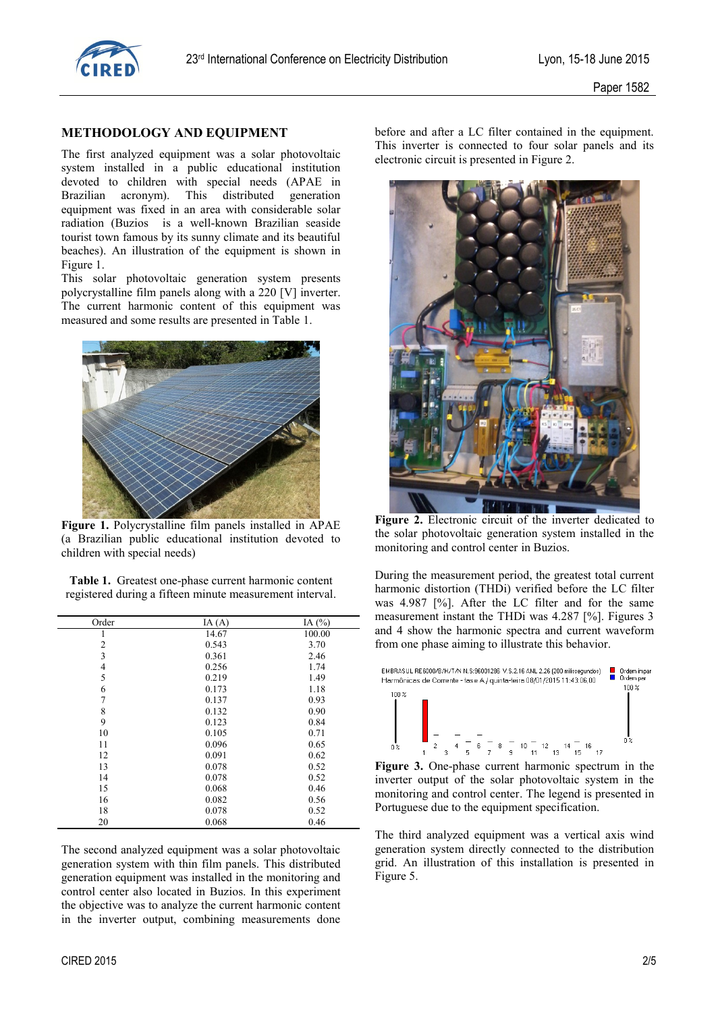

## **METHODOLOGY AND EQUIPMENT**

The first analyzed equipment was a solar photovoltaic system installed in a public educational institution devoted to children with special needs (APAE in Brazilian acronym). This distributed generation equipment was fixed in an area with considerable solar radiation (Buzios is a well-known Brazilian seaside tourist town famous by its sunny climate and its beautiful beaches). An illustration of the equipment is shown in Figure 1.

This solar photovoltaic generation system presents polycrystalline film panels along with a 220 [V] inverter. The current harmonic content of this equipment was measured and some results are presented in Table 1.



**Figure 1.** Polycrystalline film panels installed in APAE (a Brazilian public educational institution devoted to children with special needs)

**Table 1.** Greatest one-phase current harmonic content registered during a fifteen minute measurement interval.

| Order          | IA $(A)$ | IA $(%)$ |
|----------------|----------|----------|
|                | 14.67    | 100.00   |
| $\overline{2}$ | 0.543    | 3.70     |
| 3              | 0.361    | 2.46     |
| $\overline{4}$ | 0.256    | 1.74     |
| 5              | 0.219    | 1.49     |
| 6              | 0.173    | 1.18     |
| 7              | 0.137    | 0.93     |
| 8              | 0.132    | 0.90     |
| 9              | 0.123    | 0.84     |
| 10             | 0.105    | 0.71     |
| 11             | 0.096    | 0.65     |
| 12             | 0.091    | 0.62     |
| 13             | 0.078    | 0.52     |
| 14             | 0.078    | 0.52     |
| 15             | 0.068    | 0.46     |
| 16             | 0.082    | 0.56     |
| 18             | 0.078    | 0.52     |
| 20             | 0.068    | 0.46     |

The second analyzed equipment was a solar photovoltaic generation system with thin film panels. This distributed generation equipment was installed in the monitoring and control center also located in Buzios. In this experiment the objective was to analyze the current harmonic content in the inverter output, combining measurements done

before and after a LC filter contained in the equipment. This inverter is connected to four solar panels and its electronic circuit is presented in Figure 2.



**Figure 2.** Electronic circuit of the inverter dedicated to the solar photovoltaic generation system installed in the monitoring and control center in Buzios.

During the measurement period, the greatest total current harmonic distortion (THDi) verified before the LC filter was 4.987 [%]. After the LC filter and for the same measurement instant the THDi was 4.287 [%]. Figures 3 and 4 show the harmonic spectra and current waveform from one phase aiming to illustrate this behavior.



**Figure 3.** One-phase current harmonic spectrum in the inverter output of the solar photovoltaic system in the monitoring and control center. The legend is presented in Portuguese due to the equipment specification.

The third analyzed equipment was a vertical axis wind generation system directly connected to the distribution grid. An illustration of this installation is presented in Figure 5.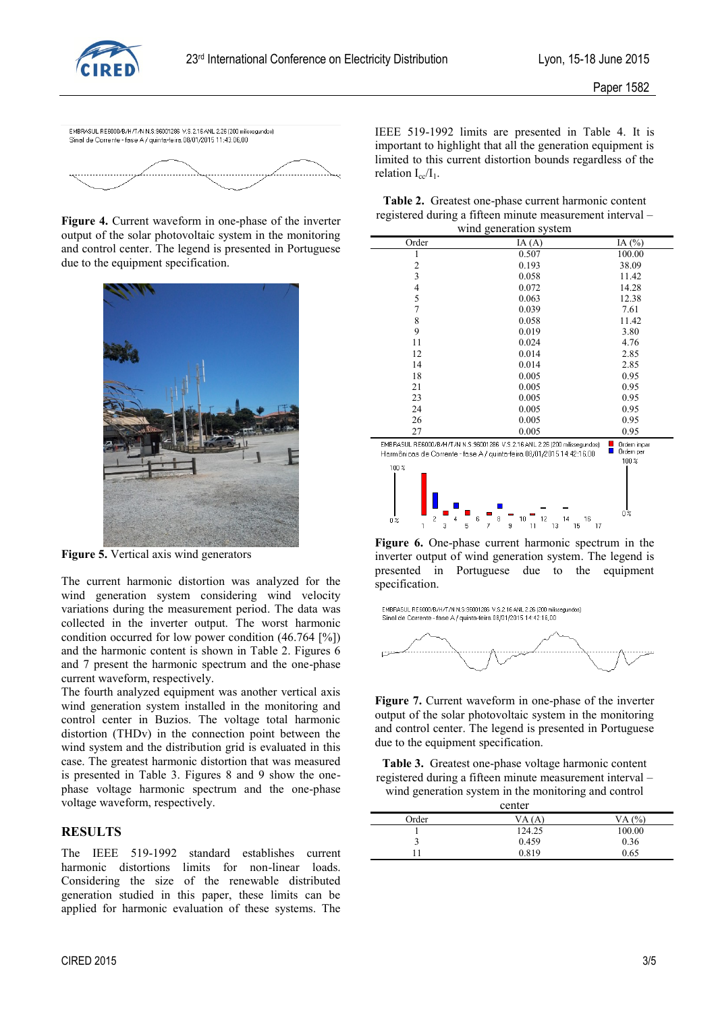



**Figure 4.** Current waveform in one-phase of the inverter output of the solar photovoltaic system in the monitoring and control center. The legend is presented in Portuguese due to the equipment specification.



**Figure 5.** Vertical axis wind generators

The current harmonic distortion was analyzed for the wind generation system considering wind velocity variations during the measurement period. The data was collected in the inverter output. The worst harmonic condition occurred for low power condition (46.764 [%]) and the harmonic content is shown in Table 2. Figures 6 and 7 present the harmonic spectrum and the one-phase current waveform, respectively.

The fourth analyzed equipment was another vertical axis wind generation system installed in the monitoring and control center in Buzios. The voltage total harmonic distortion (THDv) in the connection point between the wind system and the distribution grid is evaluated in this case. The greatest harmonic distortion that was measured is presented in Table 3. Figures 8 and 9 show the onephase voltage harmonic spectrum and the one-phase voltage waveform, respectively.

## **RESULTS**

The IEEE 519-1992 standard establishes current harmonic distortions limits for non-linear loads. Considering the size of the renewable distributed generation studied in this paper, these limits can be applied for harmonic evaluation of these systems. The

|                                                           |  |  | Table 2. Greatest one-phase current harmonic content |  |
|-----------------------------------------------------------|--|--|------------------------------------------------------|--|
| registered during a fifteen minute measurement interval - |  |  |                                                      |  |
|                                                           |  |  |                                                      |  |

| wind generation system |                                                                             |              |  |
|------------------------|-----------------------------------------------------------------------------|--------------|--|
| Order                  | IA $(A)$                                                                    | IA $(%)$     |  |
| ı                      | 0.507                                                                       | 100.00       |  |
| 2                      | 0.193                                                                       | 38.09        |  |
| 3                      | 0.058                                                                       | 11.42        |  |
| 4                      | 0.072                                                                       | 14.28        |  |
| 5                      | 0.063                                                                       | 12.38        |  |
| $\overline{7}$         | 0.039                                                                       | 7.61         |  |
| 8                      | 0.058                                                                       | 11.42        |  |
| 9                      | 0.019                                                                       | 3.80         |  |
| 11                     | 0.024                                                                       | 4.76         |  |
| 12                     | 0.014                                                                       | 2.85         |  |
| 14                     | 0.014                                                                       | 2.85         |  |
| 18                     | 0.005                                                                       | 0.95         |  |
| 21                     | 0.005                                                                       | 0.95         |  |
| 23                     | 0.005                                                                       | 0.95         |  |
| 24                     | 0.005                                                                       | 0.95         |  |
| 26                     | 0.005                                                                       | 0.95         |  |
| 27                     | 0.005                                                                       | 0.95         |  |
|                        | EMBRASHL BEROOD/R/H/T/N N S:98001286 V S 2.16 ANL 2.26 (200 miliosequedos). | Ordero imper |  |



**Figure 6.** One-phase current harmonic spectrum in the inverter output of wind generation system. The legend is presented in Portuguese due to the equipment specification.



**Figure 7.** Current waveform in one-phase of the inverter output of the solar photovoltaic system in the monitoring and control center. The legend is presented in Portuguese due to the equipment specification.

**Table 3.** Greatest one-phase voltage harmonic content registered during a fifteen minute measurement interval – wind generation system in the monitoring and control

center

| <u>center</u> |        |           |  |
|---------------|--------|-----------|--|
| Order         | VA (A) | (%)<br>VA |  |
|               | 124.25 | 100.00    |  |
|               | 0.459  | 0.36      |  |
|               | 0.819  | 0.65      |  |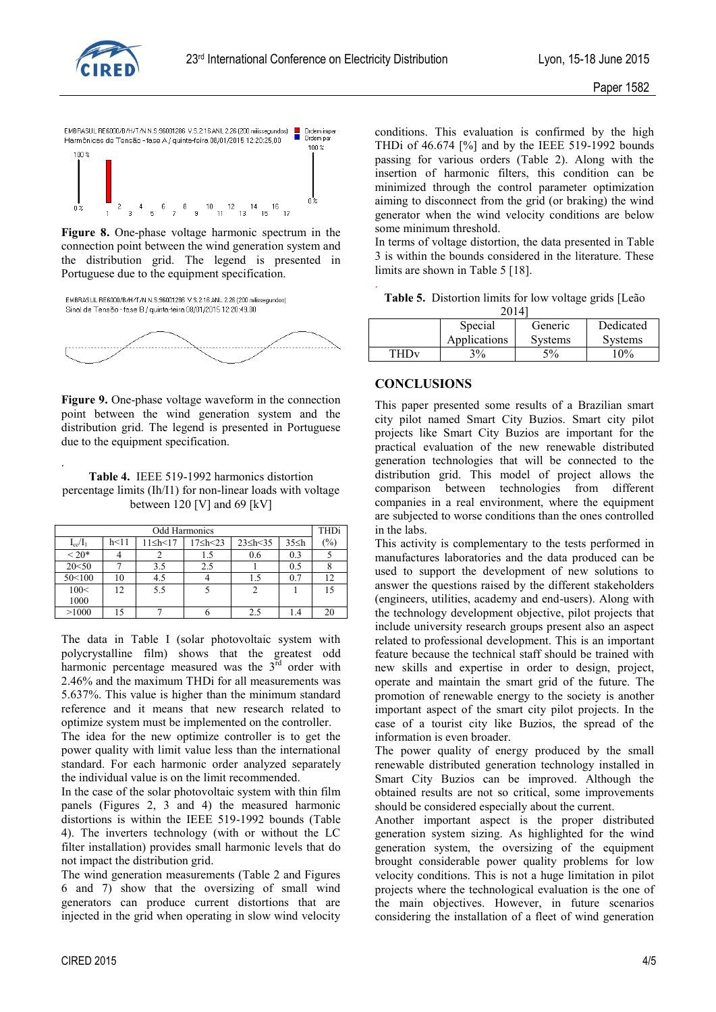



**Figure 8.** One-phase voltage harmonic spectrum in the connection point between the wind generation system and the distribution grid. The legend is presented in Portuguese due to the equipment specification.





**Figure 9.** One-phase voltage waveform in the connection point between the wind generation system and the distribution grid. The legend is presented in Portuguese due to the equipment specification.

**Table 4.** IEEE 519-1992 harmonics distortion percentage limits (Ih/I1) for non-linear loads with voltage between 120 [V] and 69 [kV]

| <b>Odd Harmonics</b> |      |                     | <b>THDi</b>         |                 |             |     |
|----------------------|------|---------------------|---------------------|-----------------|-------------|-----|
| $I_{cc}/I_1$         | h<11 | $11 \leq h \leq 17$ | $17 \leq h \leq 23$ | $23 \le h < 35$ | $35 \leq h$ | (%) |
| ${}<$ 20 ${}$ *      |      |                     |                     | 0.6             | 0.3         |     |
| 20<50                |      | 3.5                 | 2.5                 |                 | 0.5         |     |
| 50<100               | 10   | 4.5                 |                     |                 | 0.7         | 12  |
| 100<                 | 12   | 5.5                 |                     |                 |             | 15  |
| 1000                 |      |                     |                     |                 |             |     |
| >1000                | 15   |                     |                     | 2.1             |             | 20  |

The data in Table I (solar photovoltaic system with polycrystalline film) shows that the greatest odd harmonic percentage measured was the  $3<sup>rd</sup>$  order with 2.46% and the maximum THDi for all measurements was 5.637%. This value is higher than the minimum standard reference and it means that new research related to optimize system must be implemented on the controller.

The idea for the new optimize controller is to get the power quality with limit value less than the international standard. For each harmonic order analyzed separately the individual value is on the limit recommended.

In the case of the solar photovoltaic system with thin film panels (Figures 2, 3 and 4) the measured harmonic distortions is within the IEEE 519-1992 bounds (Table 4). The inverters technology (with or without the LC filter installation) provides small harmonic levels that do not impact the distribution grid.

The wind generation measurements (Table 2 and Figures 6 and 7) show that the oversizing of small wind generators can produce current distortions that are injected in the grid when operating in slow wind velocity

conditions. This evaluation is confirmed by the high THDi of 46.674 [%] and by the IEEE 519-1992 bounds passing for various orders (Table 2). Along with the insertion of harmonic filters, this condition can be minimized through the control parameter optimization aiming to disconnect from the grid (or braking) the wind generator when the wind velocity conditions are below some minimum threshold.

In terms of voltage distortion, the data presented in Table 3 is within the bounds considered in the literature. These limits are shown in Table 5 [18].

| Table 5. Distortion limits for low voltage grids [Leão |         |  |  |
|--------------------------------------------------------|---------|--|--|
|                                                        | $20141$ |  |  |

| ∠∪⊥+⊓                  |              |                |                |  |
|------------------------|--------------|----------------|----------------|--|
|                        | Special      | Generic        | Dedicated      |  |
|                        | Applications | <b>Systems</b> | <b>Systems</b> |  |
| <b>THD<sub>V</sub></b> | $3\%$        | $5\%$          | $10\%$         |  |

#### **CONCLUSIONS**

.

This paper presented some results of a Brazilian smart city pilot named Smart City Buzios. Smart city pilot projects like Smart City Buzios are important for the practical evaluation of the new renewable distributed generation technologies that will be connected to the distribution grid. This model of project allows the comparison between technologies from different companies in a real environment, where the equipment are subjected to worse conditions than the ones controlled in the labs.

This activity is complementary to the tests performed in manufactures laboratories and the data produced can be used to support the development of new solutions to answer the questions raised by the different stakeholders (engineers, utilities, academy and end-users). Along with the technology development objective, pilot projects that include university research groups present also an aspect related to professional development. This is an important feature because the technical staff should be trained with new skills and expertise in order to design, project, operate and maintain the smart grid of the future. The promotion of renewable energy to the society is another important aspect of the smart city pilot projects. In the case of a tourist city like Buzios, the spread of the information is even broader.

The power quality of energy produced by the small renewable distributed generation technology installed in Smart City Buzios can be improved. Although the obtained results are not so critical, some improvements should be considered especially about the current.

Another important aspect is the proper distributed generation system sizing. As highlighted for the wind generation system, the oversizing of the equipment brought considerable power quality problems for low velocity conditions. This is not a huge limitation in pilot projects where the technological evaluation is the one of the main objectives. However, in future scenarios considering the installation of a fleet of wind generation

.